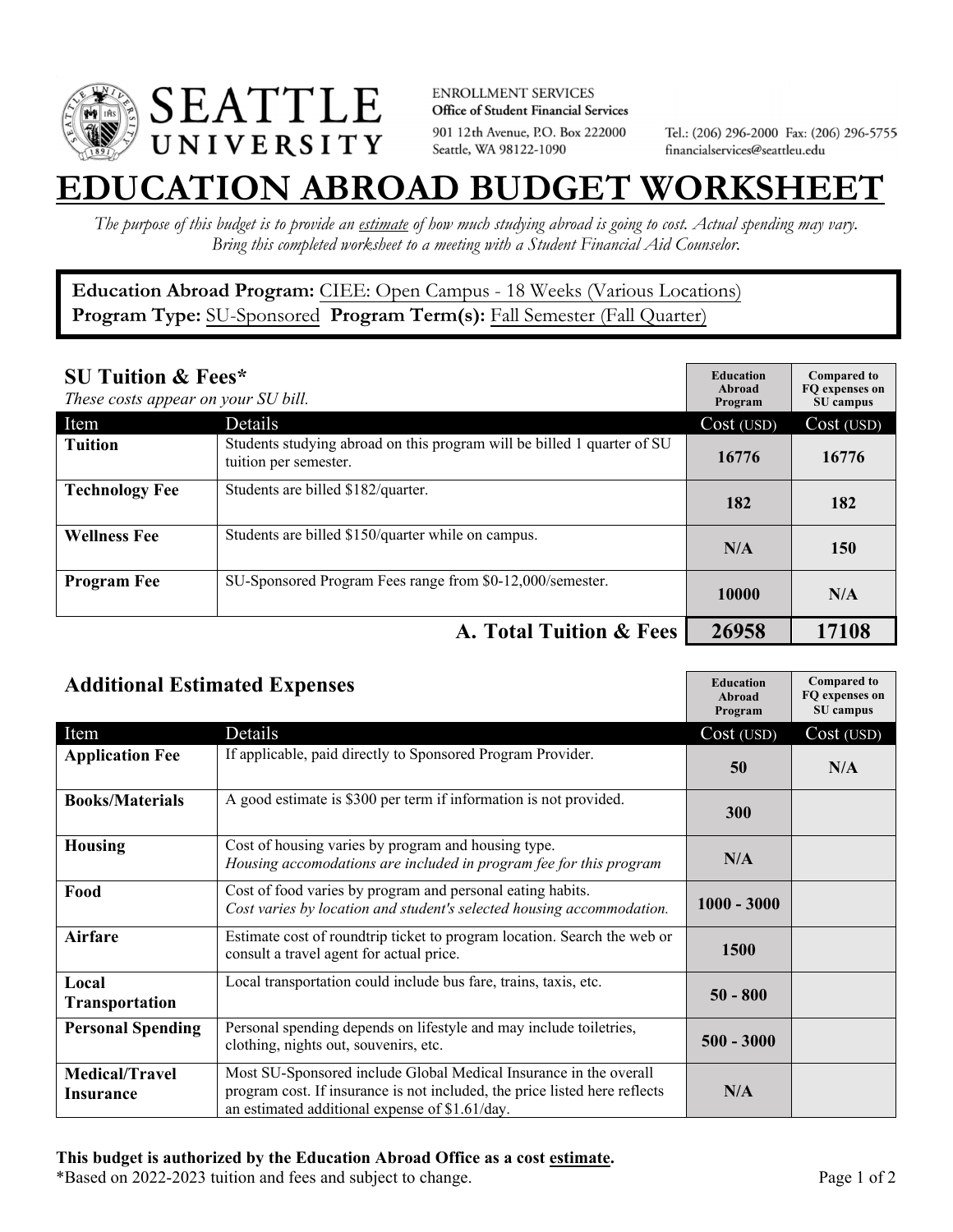

**ENROLLMENT SERVICES** Office of Student Financial Services 901 12th Avenue, P.O. Box 222000 Seattle, WA 98122-1090

Tel.: (206) 296-2000 Fax: (206) 296-5755 financialservices@seattleu.edu

## **EATION ABROAD BUDGET WORKSHEE**

*The purpose of this budget is to provide an estimate of how much studying abroad is going to cost. Actual spending may vary. Bring this completed worksheet to a meeting with a Student Financial Aid Counselor.* 

**Education Abroad Program:** CIEE: Open Campus - 18 Weeks (Various Locations) **Program Type:** SU-Sponsored **Program Term(s):** Fall Semester (Fall Quarter)

| <b>SU Tuition &amp; Fees*</b><br>These costs appear on your SU bill. |                                                                                                  | <b>Education</b><br>Abroad<br>Program | <b>Compared to</b><br>FQ expenses on<br>SU campus |
|----------------------------------------------------------------------|--------------------------------------------------------------------------------------------------|---------------------------------------|---------------------------------------------------|
| Item                                                                 | Details                                                                                          | Cost (USD)                            | Cost (USD)                                        |
| <b>Tuition</b>                                                       | Students studying abroad on this program will be billed 1 quarter of SU<br>tuition per semester. | 16776                                 | 16776                                             |
| <b>Technology Fee</b>                                                | Students are billed \$182/quarter.                                                               | 182                                   | 182                                               |
| <b>Wellness Fee</b>                                                  | Students are billed \$150/quarter while on campus.                                               | N/A                                   | 150                                               |
| <b>Program Fee</b>                                                   | SU-Sponsored Program Fees range from \$0-12,000/semester.                                        | 10000                                 | N/A                                               |
|                                                                      | A. Total Tuition & Fees                                                                          | 26958                                 | 17108                                             |

| <b>Additional Estimated Expenses</b> |                                                                                                                                                                                                   | <b>Education</b><br>Abroad<br>Program | <b>Compared to</b><br>FQ expenses on<br>SU campus |
|--------------------------------------|---------------------------------------------------------------------------------------------------------------------------------------------------------------------------------------------------|---------------------------------------|---------------------------------------------------|
| Item                                 | Details                                                                                                                                                                                           | Cost (USD)                            | Cost (USD)                                        |
| <b>Application Fee</b>               | If applicable, paid directly to Sponsored Program Provider.                                                                                                                                       | 50                                    | N/A                                               |
| <b>Books/Materials</b>               | A good estimate is \$300 per term if information is not provided.                                                                                                                                 | 300                                   |                                                   |
| <b>Housing</b>                       | Cost of housing varies by program and housing type.<br>Housing accomodations are included in program fee for this program                                                                         | N/A                                   |                                                   |
| Food                                 | Cost of food varies by program and personal eating habits.<br>Cost varies by location and student's selected housing accommodation.                                                               | $1000 - 3000$                         |                                                   |
| <b>Airfare</b>                       | Estimate cost of roundtrip ticket to program location. Search the web or<br>consult a travel agent for actual price.                                                                              | <b>1500</b>                           |                                                   |
| Local<br><b>Transportation</b>       | Local transportation could include bus fare, trains, taxis, etc.                                                                                                                                  | $50 - 800$                            |                                                   |
| <b>Personal Spending</b>             | Personal spending depends on lifestyle and may include toiletries,<br>clothing, nights out, souvenirs, etc.                                                                                       | $500 - 3000$                          |                                                   |
| <b>Medical/Travel</b><br>Insurance   | Most SU-Sponsored include Global Medical Insurance in the overall<br>program cost. If insurance is not included, the price listed here reflects<br>an estimated additional expense of \$1.61/day. | N/A                                   |                                                   |

\*Based on 2022-2023 tuition and fees and subject to change. Page 1 of 2